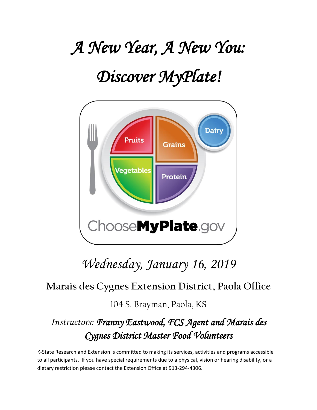# *A New Year, A New You:*

## *Discover MyPlate!*



## *Wednesday, January 16, 2019*

### **Marais des Cygnes Extension District, Paola Office**

104 S. Brayman, Paola, KS

## *Instructors: Franny Eastwood, FCS Agent and Marais des Cygnes District Master Food Volunteers*

K-State Research and Extension is committed to making its services, activities and programs accessible to all participants. If you have special requirements due to a physical, vision or hearing disability, or a dietary restriction please contact the Extension Office at 913-294-4306.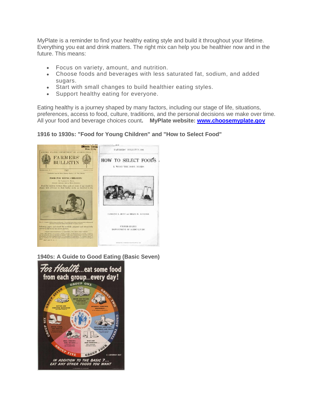MyPlate is a reminder to find your healthy eating style and build it throughout your lifetime. Everything you eat and drink matters. The right mix can help you be healthier now and in the future. This means:

- Focus on variety, amount, and nutrition.
- Choose foods and beverages with less saturated fat, sodium, and added sugars.
- Start with small changes to build healthier eating styles.
- Support healthy eating for everyone.

Eating healthy is a journey shaped by many factors, including our stage of life, situations, preferences, access to food, culture, traditions, and the personal decisions we make over time. All your food and beverage choices count**. MyPlate website: [www.choosemyplate.gov](http://www.choosemyplate.gov/)**

#### **1916 to 1930s: "Food for Young Children" and "How to Select Food"**



**1940s: A Guide to Good Eating (Basic Seven)**

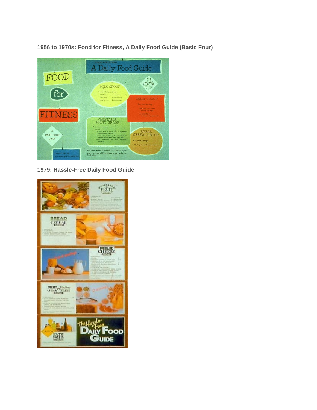**1956 to 1970s: Food for Fitness, A Daily Food Guide (Basic Four)**



**1979: Hassle-Free Daily Food Guide**

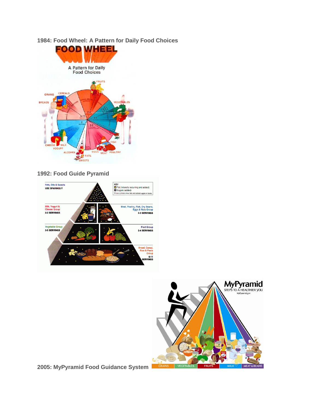**1984: Food Wheel: A Pattern for Daily Food Choices**



#### **1992: Food Guide Pyramid**





**2005: MyPyramid Food Guidance System**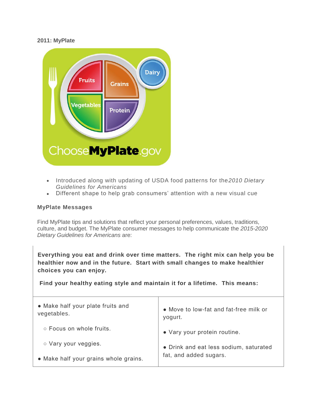#### **2011: MyPlate**



- Introduced along with updating of USDA food patterns for the*2010 Dietary Guidelines for Americans*
- Different shape to help grab consumers' attention with a new visual cue

#### **MyPlate Messages**

Find MyPlate tips and solutions that reflect your personal preferences, values, traditions, culture, and budget. The MyPlate consumer messages to help communicate the *2015-2020 Dietary Guidelines for Americans* are:

**Everything you eat and drink over time matters. The right mix can help you be healthier now and in the future. Start with small changes to make healthier choices you can enjoy.** 

**Find your healthy eating style and maintain it for a lifetime. This means:**

| • Make half your plate fruits and<br>vegetables. | • Move to low-fat and fat-free milk or<br>yogurt. |
|--------------------------------------------------|---------------------------------------------------|
| ○ Focus on whole fruits.                         | • Vary your protein routine.                      |
| ○ Vary your veggies.                             | • Drink and eat less sodium, saturated            |
| • Make half your grains whole grains.            | fat, and added sugars.                            |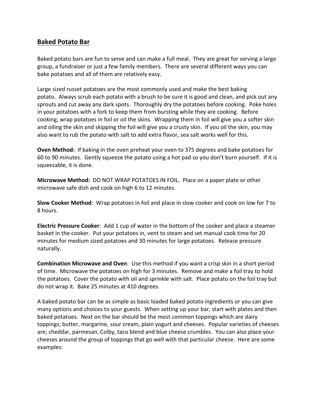#### **Baked Potato Bar**

Baked potato bars are fun to serve and can make a full meal. They are great for serving a large group, a fundraiser or just a few family members. There are several different ways you can bake potatoes and all of them are relatively easy.

Large sized russet potatoes are the most commonly used and make the best baking potato. Always scrub each potato with a brush to be sure it is good and clean, and pick out any sprouts and cut away any dark spots. Thoroughly dry the potatoes before cooking. Poke holes in your potatoes with a fork to keep them from bursting while they are cooking. Before cooking, wrap potatoes in foil or oil the skins. Wrapping them in foil will give you a softer skin and oiling the skin and skipping the foil will give you a crusty skin. If you oil the skin, you may also want to rub the potato with salt to add extra flavor, sea salt works well for this.

**Oven Method:** If baking in the oven preheat your oven to 375 degrees and bake potatoes for 60 to 90 minutes. Gently squeeze the potato using a hot pad so you don't burn yourself. If it is squeezable, it is done.

**Microwave Method:** DO NOT WRAP POTATOES IN FOIL. Place on a paper plate or other microwave safe dish and cook on high 6 to 12 minutes.

**Slow Cooker Method**: Wrap potatoes in foil and place in slow cooker and cook on low for 7 to 8 hours.

**Electric Pressure Cooker**: Add 1 cup of water in the bottom of the cooker and place a steamer basket in the cooker. Put your potatoes in, vent to steam and set manual cook time for 20 minutes for medium sized potatoes and 30 minutes for large potatoes. Release pressure naturally.

**Combination Microwave and Oven**: Use this method if you want a crisp skin in a short period of time. Microwave the potatoes on high for 3 minutes. Remove and make a foil tray to hold the potatoes. Cover the potato with oil and sprinkle with salt. Place potato on the foil tray but do not wrap it. Bake 25 minutes at 410 degrees.

A baked potato bar can be as simple as basic loaded baked potato ingredients or you can give many options and choices to your guests. When setting up your bar, start with plates and then baked potatoes. Next on the bar should be the most common toppings which are dairy toppings; butter, margarine, sour cream, plain yogurt and cheeses. Popular varieties of cheeses are; cheddar, parmesan, Colby, taco blend and blue cheese crumbles. You can also place your cheeses around the group of toppings that go well with that particular cheese. Here are some examples: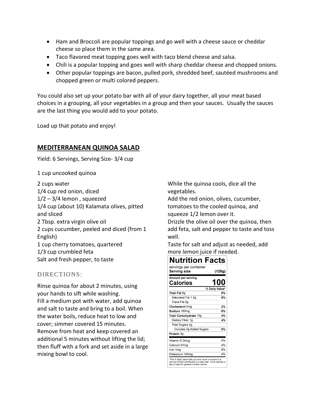- Ham and Broccoli are popular toppings and go well with a cheese sauce or cheddar cheese so place them in the same area.
- Taco flavored meat topping goes well with taco blend cheese and salsa.
- Chili is a popular topping and goes well with sharp cheddar cheese and chopped onions.
- Other popular toppings are bacon, pulled pork, shredded beef, sautéed mushrooms and chopped green or multi colored peppers.

You could also set up your potato bar with all of your dairy together, all your meat based choices in a grouping, all your vegetables in a group and then your sauces. Usually the sauces are the last thing you would add to your potato.

Load up that potato and enjoy!

#### **MEDITERRANEAN QUINOA SALAD**

Yield: 6 Servings, Serving Size- 3/4 cup

1 cup uncooked quinoa

2 cups water

1/4 cup red onion, diced  $1/2 - 3/4$  lemon, squeezed 1/4 cup (about 10) Kalamata olives, pitted and sliced 2 Tbsp. extra virgin olive oil 2 cups cucumber, peeled and diced (from 1 English) 1 cup cherry tomatoes, quartered 1/3 cup crumbled feta Salt and fresh pepper, to taste

#### DIRECTIONS:

Rinse quinoa for about 2 minutes, using your hands to sift while washing. Fill a medium pot with water, add quinoa and salt to taste and bring to a boil. When the water boils, reduce heat to low and cover; simmer covered 15 minutes. Remove from heat and keep covered an additional 5 minutes without lifting the lid; then fluff with a fork and set aside in a large mixing bowl to cool.

While the quinoa cools, dice all the vegetables.

Add the red onion, olives, cucumber, tomatoes to the cooled quinoa, and squeeze 1/2 lemon over it.

Drizzle the olive oil over the quinoa, then add feta, salt and pepper to taste and toss well.

Taste for salt and adjust as needed, add more lemon juice if needed.

#### **Nutrition Facts**

| servings per container<br>Serving size | (128g)         |
|----------------------------------------|----------------|
| Amount per serving<br>Calories         | 100            |
|                                        | % Daily Value* |
| Total Fat 6q                           | 8%             |
| Saturated Fat 1.5g                     | 8%             |
| Trans Fat 0g                           |                |
| Cholesterol 5mg                        | 2%             |
| Sodium 180mg                           | 8%             |
| Total Carbohydrate 10g                 | 4%             |
| Dietary Fiber 1g                       | 4%             |
| Total Sugars 2g                        |                |
| Includes 0g Added Sugars               | 0%             |
| Protein 3g                             |                |
| Vitamin D 0mcq                         | 0%             |
| Calcium 61mg                           | 4%             |
| lron 1ma                               | 6%             |
| Potassium 190mg                        | 4%             |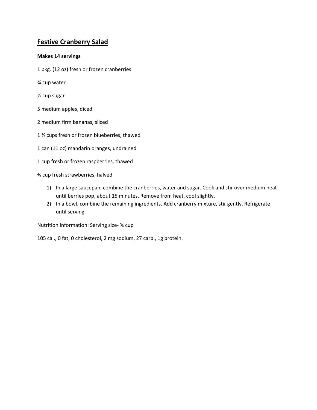#### **Festive Cranberry Salad**

#### **Makes 14 servings**

- 1 pkg. (12 oz) fresh or frozen cranberries
- ¾ cup water
- ½ cup sugar
- 5 medium apples, diced
- 2 medium firm bananas, sliced
- 1 ½ cups fresh or frozen blueberries, thawed
- 1 can (11 oz) mandarin oranges, undrained
- 1 cup fresh or frozen raspberries, thawed

¾ cup fresh strawberries, halved

- 1) In a large saucepan, combine the cranberries, water and sugar. Cook and stir over medium heat until berries pop, about 15 minutes. Remove from heat, cool slightly.
- 2) In a bowl, combine the remaining ingredients. Add cranberry mixture, stir gently. Refrigerate until serving.

Nutrition Information: Serving size- ¾ cup

105 cal., 0 fat, 0 cholesterol, 2 mg sodium, 27 carb., 1g protein.